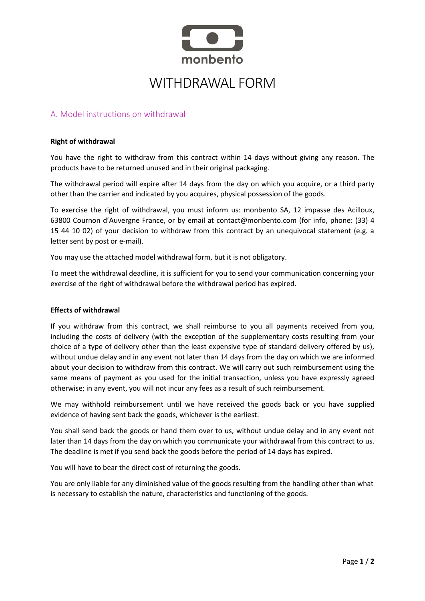

# WITHDRAWAL FORM

## A. Model instructions on withdrawal

#### **Right of withdrawal**

You have the right to withdraw from this contract within 14 days without giving any reason. The products have to be returned unused and in their original packaging.

The withdrawal period will expire after 14 days from the day on which you acquire, or a third party other than the carrier and indicated by you acquires, physical possession of the goods.

To exercise the right of withdrawal, you must inform us: monbento SA, 12 impasse des Acilloux, 63800 Cournon d'Auvergne France, or by email at contact@monbento.com (for info, phone: (33) 4 15 44 10 02) of your decision to withdraw from this contract by an unequivocal statement (e.g. a letter sent by post or e-mail).

You may use the attached model withdrawal form, but it is not obligatory.

To meet the withdrawal deadline, it is sufficient for you to send your communication concerning your exercise of the right of withdrawal before the withdrawal period has expired.

#### **Effects of withdrawal**

If you withdraw from this contract, we shall reimburse to you all payments received from you, including the costs of delivery (with the exception of the supplementary costs resulting from your choice of a type of delivery other than the least expensive type of standard delivery offered by us), without undue delay and in any event not later than 14 days from the day on which we are informed about your decision to withdraw from this contract. We will carry out such reimbursement using the same means of payment as you used for the initial transaction, unless you have expressly agreed otherwise; in any event, you will not incur any fees as a result of such reimbursement.

We may withhold reimbursement until we have received the goods back or you have supplied evidence of having sent back the goods, whichever is the earliest.

You shall send back the goods or hand them over to us, without undue delay and in any event not later than 14 days from the day on which you communicate your withdrawal from this contract to us. The deadline is met if you send back the goods before the period of 14 days has expired.

You will have to bear the direct cost of returning the goods.

You are only liable for any diminished value of the goods resulting from the handling other than what is necessary to establish the nature, characteristics and functioning of the goods.